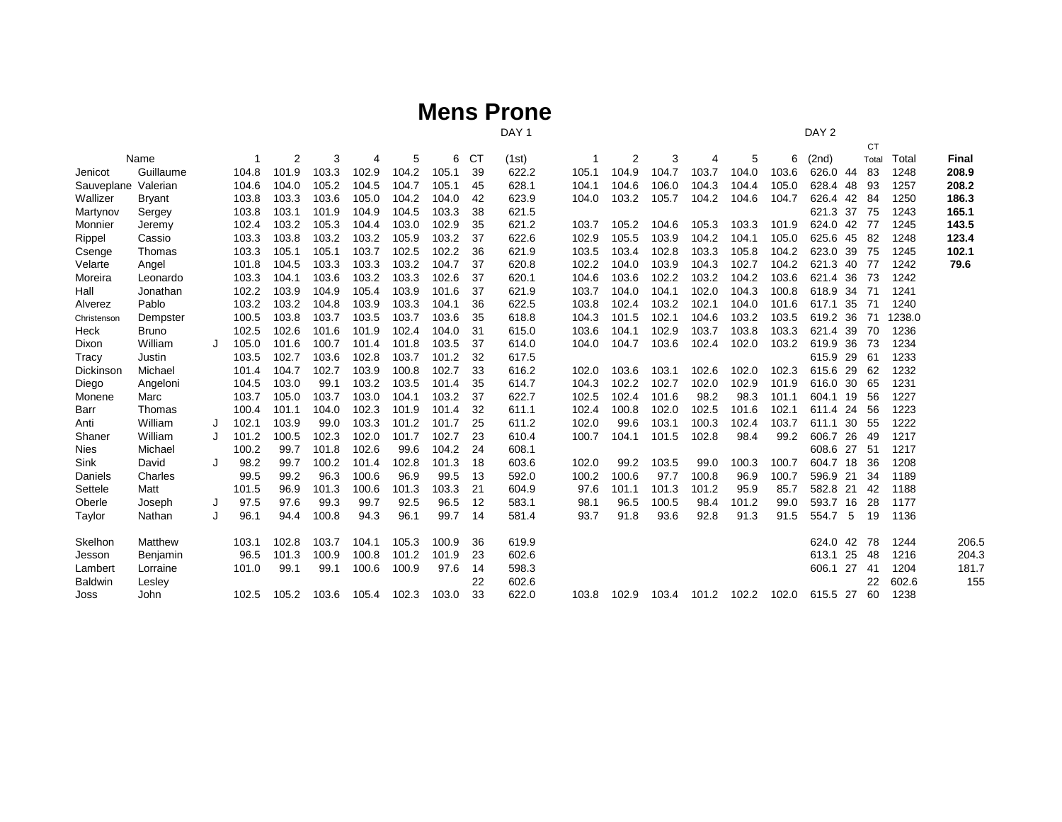#### **Mens Prone**

DAY 1 DAY 2

|                     |               |   |       |       |       |       |       |       |           |       |       |       |       |       |       |       |              | <b>CT</b> |        |       |
|---------------------|---------------|---|-------|-------|-------|-------|-------|-------|-----------|-------|-------|-------|-------|-------|-------|-------|--------------|-----------|--------|-------|
|                     | Name          |   |       | 2     | 3     | 4     | 5     | 6     | <b>CT</b> | (1st) |       | 2     | 3     | 4     | 5     | 6     | (2nd)        | Total     | Total  | Final |
| Jenicot             | Guillaume     |   | 104.8 | 101.9 | 103.3 | 102.9 | 104.2 | 105.1 | 39        | 622.2 | 105.1 | 104.9 | 104.7 | 103.7 | 104.0 | 103.6 | 626.0 44     | 83        | 1248   | 208.9 |
| Sauveplane Valerian |               |   | 104.6 | 104.0 | 105.2 | 104.5 | 104.7 | 105.1 | 45        | 628.1 | 104.1 | 104.6 | 106.0 | 104.3 | 104.4 | 105.0 | 628.4<br>48  | 93        | 1257   | 208.2 |
| Wallizer            | <b>Bryant</b> |   | 103.8 | 103.3 | 103.6 | 105.0 | 104.2 | 104.0 | 42        | 623.9 | 104.0 | 103.2 | 105.7 | 104.2 | 104.6 | 104.7 | 42<br>626.4  | -84       | 1250   | 186.3 |
| Martynov            | Sergey        |   | 103.8 | 103.1 | 101.9 | 104.9 | 104.5 | 103.3 | 38        | 621.5 |       |       |       |       |       |       | 621.3<br>37  | 75        | 1243   | 165.1 |
| Monnier             | Jeremy        |   | 102.4 | 103.2 | 105.3 | 104.4 | 103.0 | 102.9 | 35        | 621.2 | 103.7 | 105.2 | 104.6 | 105.3 | 103.3 | 101.9 | 624.0 42     | - 77      | 1245   | 143.5 |
| Rippel              | Cassio        |   | 103.3 | 103.8 | 103.2 | 103.2 | 105.9 | 103.2 | 37        | 622.6 | 102.9 | 105.5 | 103.9 | 104.2 | 104.1 | 105.0 | 625.6<br>45  | -82       | 1248   | 123.4 |
| Csenge              | Thomas        |   | 103.3 | 105.1 | 105.1 | 103.7 | 102.5 | 102.2 | 36        | 621.9 | 103.5 | 103.4 | 102.8 | 103.3 | 105.8 | 104.2 | 623.0<br>39  | 75        | 1245   | 102.1 |
| Velarte             | Angel         |   | 101.8 | 104.5 | 103.3 | 103.3 | 103.2 | 104.7 | 37        | 620.8 | 102.2 | 104.0 | 103.9 | 104.3 | 102.7 | 104.2 | 621.3<br>40  | 77        | 1242   | 79.6  |
| Moreira             | Leonardo      |   | 103.3 | 104.1 | 103.6 | 103.2 | 103.3 | 102.6 | 37        | 620.1 | 104.6 | 103.6 | 102.2 | 103.2 | 104.2 | 103.6 | 621.4<br>36  | 73        | 1242   |       |
| Hall                | Jonathan      |   | 102.2 | 103.9 | 104.9 | 105.4 | 103.9 | 101.6 | 37        | 621.9 | 103.7 | 104.0 | 104.1 | 102.0 | 104.3 | 100.8 | 618.9<br>-34 | -71       | 1241   |       |
| Alverez             | Pablo         |   | 103.2 | 103.2 | 104.8 | 103.9 | 103.3 | 104.1 | 36        | 622.5 | 103.8 | 102.4 | 103.2 | 102.1 | 104.0 | 101.6 | 35<br>617.1  | -71       | 1240   |       |
| Christenson         | Dempster      |   | 100.5 | 103.8 | 103.7 | 103.5 | 103.7 | 103.6 | 35        | 618.8 | 104.3 | 101.5 | 102.1 | 104.6 | 103.2 | 103.5 | 36<br>619.2  | 71        | 1238.0 |       |
| Heck                | <b>Bruno</b>  |   | 102.5 | 102.6 | 101.6 | 101.9 | 102.4 | 104.0 | 31        | 615.0 | 103.6 | 104.1 | 102.9 | 103.7 | 103.8 | 103.3 | 621.4<br>39  | 70        | 1236   |       |
| Dixon               | William       |   | 105.0 | 101.6 | 100.7 | 101.4 | 101.8 | 103.5 | 37        | 614.0 | 104.0 | 104.7 | 103.6 | 102.4 | 102.0 | 103.2 | 619.9<br>36  | 73        | 1234   |       |
| Tracy               | Justin        |   | 103.5 | 102.7 | 103.6 | 102.8 | 103.7 | 101.2 | 32        | 617.5 |       |       |       |       |       |       | 29<br>615.9  | 61        | 1233   |       |
| Dickinson           | Michael       |   | 101.4 | 104.7 | 102.7 | 103.9 | 100.8 | 102.7 | 33        | 616.2 | 102.0 | 103.6 | 103.1 | 102.6 | 102.0 | 102.3 | 615.6<br>29  | 62        | 1232   |       |
| Diego               | Angeloni      |   | 104.5 | 103.0 | 99.1  | 103.2 | 103.5 | 101.4 | 35        | 614.7 | 104.3 | 102.2 | 102.7 | 102.0 | 102.9 | 101.9 | 616.0 30     | 65        | 1231   |       |
| Monene              | Marc          |   | 103.7 | 105.0 | 103.7 | 103.0 | 104.1 | 103.2 | 37        | 622.7 | 102.5 | 102.4 | 101.6 | 98.2  | 98.3  | 101.1 | 604.1<br>19  | 56        | 1227   |       |
| Barr                | Thomas        |   | 100.4 | 101.1 | 104.0 | 102.3 | 101.9 | 101.4 | 32        | 611.1 | 102.4 | 100.8 | 102.0 | 102.5 | 101.6 | 102.1 | 24<br>611.4  | 56        | 1223   |       |
| Anti                | William       |   | 102.1 | 103.9 | 99.0  | 103.3 | 101.2 | 101.7 | 25        | 611.2 | 102.0 | 99.6  | 103.1 | 100.3 | 102.4 | 103.7 | 30<br>611.1  | -55       | 1222   |       |
| Shaner              | William       |   | 101.2 | 100.5 | 102.3 | 102.0 | 101.7 | 102.7 | 23        | 610.4 | 100.7 | 104.1 | 101.5 | 102.8 | 98.4  | 99.2  | 606.7<br>26  | -49       | 1217   |       |
| Nies                | Michael       |   | 100.2 | 99.7  | 101.8 | 102.6 | 99.6  | 104.2 | 24        | 608.1 |       |       |       |       |       |       | 608.6<br>27  | 51        | 1217   |       |
| Sink                | David         |   | 98.2  | 99.7  | 100.2 | 101.4 | 102.8 | 101.3 | 18        | 603.6 | 102.0 | 99.2  | 103.5 | 99.0  | 100.3 | 100.7 | 604.7<br>18  | 36        | 1208   |       |
| Daniels             | Charles       |   | 99.5  | 99.2  | 96.3  | 100.6 | 96.9  | 99.5  | 13        | 592.0 | 100.2 | 100.6 | 97.7  | 100.8 | 96.9  | 100.7 | 596.9<br>21  | 34        | 1189   |       |
| Settele             | Matt          |   | 101.5 | 96.9  | 101.3 | 100.6 | 101.3 | 103.3 | 21        | 604.9 | 97.6  | 101.1 | 101.3 | 101.2 | 95.9  | 85.7  | 21<br>582.8  | 42        | 1188   |       |
| Oberle              | Joseph        | J | 97.5  | 97.6  | 99.3  | 99.7  | 92.5  | 96.5  | 12        | 583.1 | 98.1  | 96.5  | 100.5 | 98.4  | 101.2 | 99.0  | 593.7 16     | 28        | 1177   |       |
| Taylor              | Nathan        | J | 96.1  | 94.4  | 100.8 | 94.3  | 96.1  | 99.7  | 14        | 581.4 | 93.7  | 91.8  | 93.6  | 92.8  | 91.3  | 91.5  | 554.7<br>5   | 19        | 1136   |       |
|                     |               |   |       |       |       |       |       |       |           |       |       |       |       |       |       |       |              |           |        |       |
| Skelhon             | Matthew       |   | 103.1 | 102.8 | 103.7 | 104.1 | 105.3 | 100.9 | 36        | 619.9 |       |       |       |       |       |       | 624.0 42     | 78        | 1244   | 206.5 |
| Jesson              | Benjamin      |   | 96.5  | 101.3 | 100.9 | 100.8 | 101.2 | 101.9 | 23        | 602.6 |       |       |       |       |       |       | 25<br>613.1  | 48        | 1216   | 204.3 |
| Lambert             | Lorraine      |   | 101.0 | 99.1  | 99.1  | 100.6 | 100.9 | 97.6  | 14        | 598.3 |       |       |       |       |       |       | 27<br>606.1  | -41       | 1204   | 181.7 |
| Baldwin             | Lesley        |   |       |       |       |       |       |       | 22        | 602.6 |       |       |       |       |       |       |              | 22        | 602.6  | 155   |
| Joss                | John          |   | 102.5 | 105.2 | 103.6 | 105.4 | 102.3 | 103.0 | 33        | 622.0 | 103.8 | 102.9 | 103.4 | 101.2 | 102.2 | 102.0 | 615.5 27     | 60        | 1238   |       |
|                     |               |   |       |       |       |       |       |       |           |       |       |       |       |       |       |       |              |           |        |       |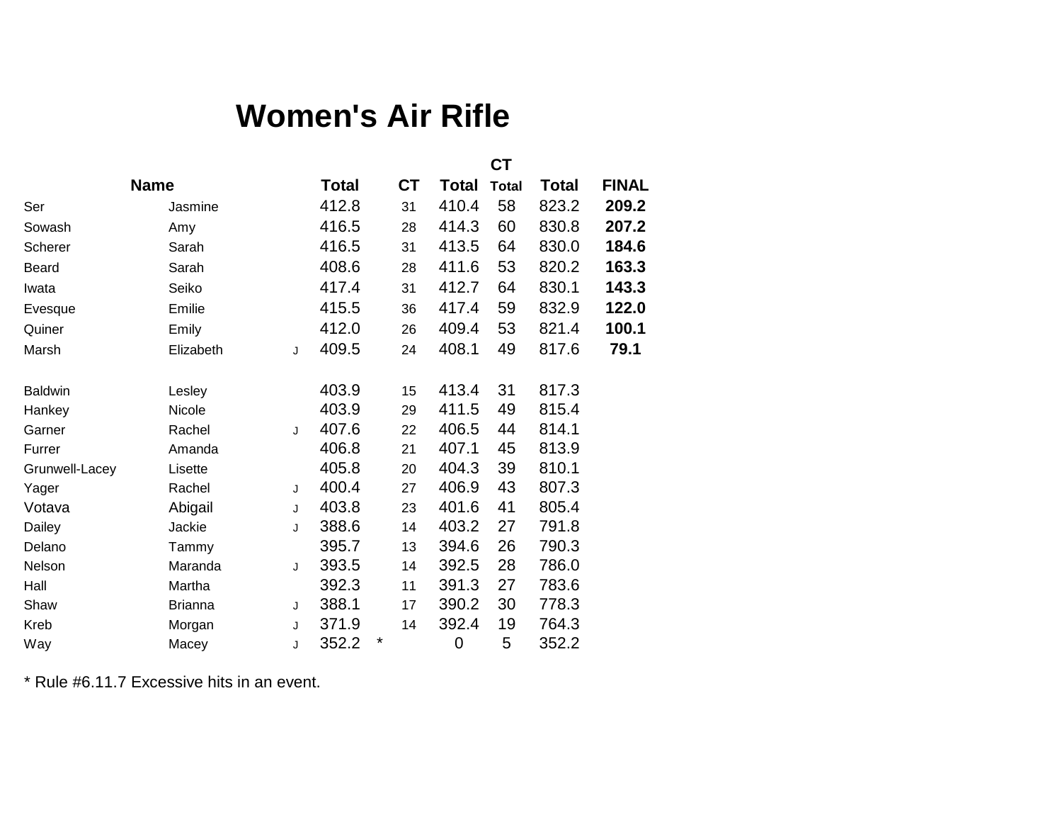### **Women's Air Rifle**

|                |                |   |              |           |              | СT           |              |              |
|----------------|----------------|---|--------------|-----------|--------------|--------------|--------------|--------------|
|                | <b>Name</b>    |   | <b>Total</b> | <b>CT</b> | <b>Total</b> | <b>Total</b> | <b>Total</b> | <b>FINAL</b> |
| Ser            | Jasmine        |   | 412.8        | 31        | 410.4        | 58           | 823.2        | 209.2        |
| Sowash         | Amy            |   | 416.5        | 28        | 414.3        | 60           | 830.8        | 207.2        |
| Scherer        | Sarah          |   | 416.5        | 31        | 413.5        | 64           | 830.0        | 184.6        |
| <b>Beard</b>   | Sarah          |   | 408.6        | 28        | 411.6        | 53           | 820.2        | 163.3        |
| Iwata          | Seiko          |   | 417.4        | 31        | 412.7        | 64           | 830.1        | 143.3        |
| Evesque        | Emilie         |   | 415.5        | 36        | 417.4        | 59           | 832.9        | 122.0        |
| Quiner         | Emily          |   | 412.0        | 26        | 409.4        | 53           | 821.4        | 100.1        |
| Marsh          | Elizabeth      | J | 409.5        | 24        | 408.1        | 49           | 817.6        | 79.1         |
| <b>Baldwin</b> | Lesley         |   | 403.9        | 15        | 413.4        | 31           | 817.3        |              |
| Hankey         | Nicole         |   | 403.9        | 29        | 411.5        | 49           | 815.4        |              |
| Garner         | Rachel         | J | 407.6        | 22        | 406.5        | 44           | 814.1        |              |
| Furrer         | Amanda         |   | 406.8        | 21        | 407.1        | 45           | 813.9        |              |
| Grunwell-Lacey | Lisette        |   | 405.8        | 20        | 404.3        | 39           | 810.1        |              |
| Yager          | Rachel         | J | 400.4        | 27        | 406.9        | 43           | 807.3        |              |
| Votava         | Abigail        | J | 403.8        | 23        | 401.6        | 41           | 805.4        |              |
| Dailey         | Jackie         | J | 388.6        | 14        | 403.2        | 27           | 791.8        |              |
| Delano         | Tammy          |   | 395.7        | 13        | 394.6        | 26           | 790.3        |              |
| Nelson         | Maranda        | J | 393.5        | 14        | 392.5        | 28           | 786.0        |              |
| Hall           | Martha         |   | 392.3        | 11        | 391.3        | 27           | 783.6        |              |
| Shaw           | <b>Brianna</b> | J | 388.1        | 17        | 390.2        | 30           | 778.3        |              |
| Kreb           | Morgan         | J | 371.9        | 14        | 392.4        | 19           | 764.3        |              |
| Way            | Macey          | J | 352.2        | *         | 0            | 5            | 352.2        |              |

\* Rule #6.11.7 Excessive hits in an event.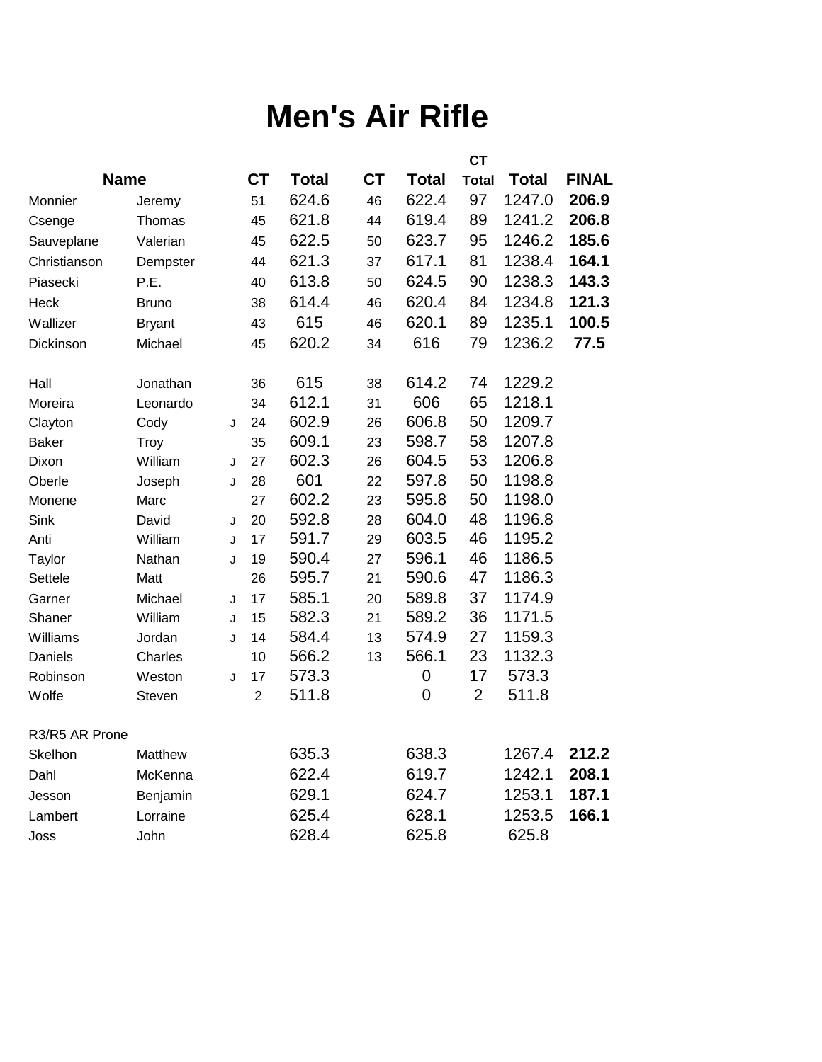# **Men's Air Rifle**

|                |               |   |                |              |           |                | <b>CT</b>      |              |              |
|----------------|---------------|---|----------------|--------------|-----------|----------------|----------------|--------------|--------------|
| <b>Name</b>    |               |   | <b>CT</b>      | <b>Total</b> | <b>CT</b> | <b>Total</b>   | <b>Total</b>   | <b>Total</b> | <b>FINAL</b> |
| Monnier        | Jeremy        |   | 51             | 624.6        | 46        | 622.4          | 97             | 1247.0       | 206.9        |
| Csenge         | Thomas        |   | 45             | 621.8        | 44        | 619.4          | 89             | 1241.2       | 206.8        |
| Sauveplane     | Valerian      |   | 45             | 622.5        | 50        | 623.7          | 95             | 1246.2       | 185.6        |
| Christianson   | Dempster      |   | 44             | 621.3        | 37        | 617.1          | 81             | 1238.4       | 164.1        |
| Piasecki       | P.E.          |   | 40             | 613.8        | 50        | 624.5          | 90             | 1238.3       | 143.3        |
| Heck           | <b>Bruno</b>  |   | 38             | 614.4        | 46        | 620.4          | 84             | 1234.8       | 121.3        |
| Wallizer       | <b>Bryant</b> |   | 43             | 615          | 46        | 620.1          | 89             | 1235.1       | 100.5        |
| Dickinson      | Michael       |   | 45             | 620.2        | 34        | 616            | 79             | 1236.2       | 77.5         |
| Hall           | Jonathan      |   | 36             | 615          | 38        | 614.2          | 74             | 1229.2       |              |
| Moreira        | Leonardo      |   | 34             | 612.1        | 31        | 606            | 65             | 1218.1       |              |
| Clayton        | Cody          | J | 24             | 602.9        | 26        | 606.8          | 50             | 1209.7       |              |
| <b>Baker</b>   | Troy          |   | 35             | 609.1        | 23        | 598.7          | 58             | 1207.8       |              |
| Dixon          | William       | J | 27             | 602.3        | 26        | 604.5          | 53             | 1206.8       |              |
| Oberle         | Joseph        | J | 28             | 601          | 22        | 597.8          | 50             | 1198.8       |              |
| Monene         | Marc          |   | 27             | 602.2        | 23        | 595.8          | 50             | 1198.0       |              |
| Sink           | David         | J | 20             | 592.8        | 28        | 604.0          | 48             | 1196.8       |              |
| Anti           | William       | J | 17             | 591.7        | 29        | 603.5          | 46             | 1195.2       |              |
| Taylor         | Nathan        | J | 19             | 590.4        | 27        | 596.1          | 46             | 1186.5       |              |
| Settele        | Matt          |   | 26             | 595.7        | 21        | 590.6          | 47             | 1186.3       |              |
| Garner         | Michael       | J | 17             | 585.1        | 20        | 589.8          | 37             | 1174.9       |              |
| Shaner         | William       | J | 15             | 582.3        | 21        | 589.2          | 36             | 1171.5       |              |
| Williams       | Jordan        | J | 14             | 584.4        | 13        | 574.9          | 27             | 1159.3       |              |
| Daniels        | Charles       |   | 10             | 566.2        | 13        | 566.1          | 23             | 1132.3       |              |
| Robinson       | Weston        | J | 17             | 573.3        |           | $\mathbf 0$    | 17             | 573.3        |              |
| Wolfe          | Steven        |   | $\overline{2}$ | 511.8        |           | $\overline{0}$ | $\overline{2}$ | 511.8        |              |
| R3/R5 AR Prone |               |   |                |              |           |                |                |              |              |
| Skelhon        | Matthew       |   |                | 635.3        |           | 638.3          |                | 1267.4       | 212.2        |
| Dahl           | McKenna       |   |                | 622.4        |           | 619.7          |                | 1242.1       | 208.1        |
| Jesson         | Benjamin      |   |                | 629.1        |           | 624.7          |                | 1253.1       | 187.1        |
| Lambert        | Lorraine      |   |                | 625.4        |           | 628.1          |                | 1253.5       | 166.1        |
| Joss           | John          |   |                | 628.4        |           | 625.8          |                | 625.8        |              |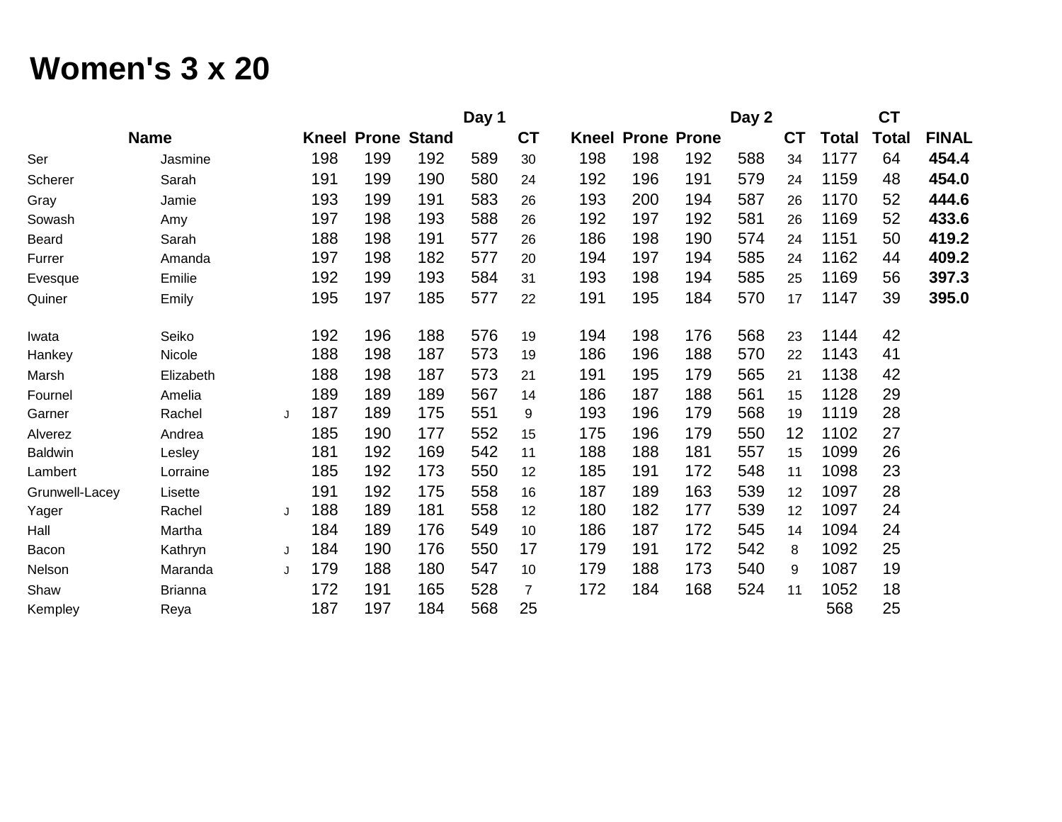# **Women's 3 x 20**

|                |                |   |     |                          |     | Day 1 |                | Day 2 |     | <b>CT</b>                |     |           |              |              |              |
|----------------|----------------|---|-----|--------------------------|-----|-------|----------------|-------|-----|--------------------------|-----|-----------|--------------|--------------|--------------|
|                | <b>Name</b>    |   |     | <b>Kneel Prone Stand</b> |     |       | <b>CT</b>      |       |     | <b>Kneel Prone Prone</b> |     | <b>CT</b> | <b>Total</b> | <b>Total</b> | <b>FINAL</b> |
| Ser            | Jasmine        |   | 198 | 199                      | 192 | 589   | 30             | 198   | 198 | 192                      | 588 | 34        | 1177         | 64           | 454.4        |
| Scherer        | Sarah          |   | 191 | 199                      | 190 | 580   | 24             | 192   | 196 | 191                      | 579 | 24        | 1159         | 48           | 454.0        |
| Gray           | Jamie          |   | 193 | 199                      | 191 | 583   | 26             | 193   | 200 | 194                      | 587 | 26        | 1170         | 52           | 444.6        |
| Sowash         | Amy            |   | 197 | 198                      | 193 | 588   | 26             | 192   | 197 | 192                      | 581 | 26        | 1169         | 52           | 433.6        |
| <b>Beard</b>   | Sarah          |   | 188 | 198                      | 191 | 577   | 26             | 186   | 198 | 190                      | 574 | 24        | 1151         | 50           | 419.2        |
| Furrer         | Amanda         |   | 197 | 198                      | 182 | 577   | 20             | 194   | 197 | 194                      | 585 | 24        | 1162         | 44           | 409.2        |
| Evesque        | Emilie         |   | 192 | 199                      | 193 | 584   | 31             | 193   | 198 | 194                      | 585 | 25        | 1169         | 56           | 397.3        |
| Quiner         | Emily          |   | 195 | 197                      | 185 | 577   | 22             | 191   | 195 | 184                      | 570 | 17        | 1147         | 39           | 395.0        |
| Iwata          | Seiko          |   | 192 | 196                      | 188 | 576   | 19             | 194   | 198 | 176                      | 568 | 23        | 1144         | 42           |              |
| Hankey         | Nicole         |   | 188 | 198                      | 187 | 573   | 19             | 186   | 196 | 188                      | 570 | 22        | 1143         | 41           |              |
| Marsh          | Elizabeth      |   | 188 | 198                      | 187 | 573   | 21             | 191   | 195 | 179                      | 565 | 21        | 1138         | 42           |              |
| Fournel        | Amelia         |   | 189 | 189                      | 189 | 567   | 14             | 186   | 187 | 188                      | 561 | 15        | 1128         | 29           |              |
| Garner         | Rachel         | J | 187 | 189                      | 175 | 551   | 9              | 193   | 196 | 179                      | 568 | 19        | 1119         | 28           |              |
| Alverez        | Andrea         |   | 185 | 190                      | 177 | 552   | 15             | 175   | 196 | 179                      | 550 | 12        | 1102         | 27           |              |
| <b>Baldwin</b> | Lesley         |   | 181 | 192                      | 169 | 542   | 11             | 188   | 188 | 181                      | 557 | 15        | 1099         | 26           |              |
| Lambert        | Lorraine       |   | 185 | 192                      | 173 | 550   | 12             | 185   | 191 | 172                      | 548 | 11        | 1098         | 23           |              |
| Grunwell-Lacey | Lisette        |   | 191 | 192                      | 175 | 558   | 16             | 187   | 189 | 163                      | 539 | 12        | 1097         | 28           |              |
| Yager          | Rachel         | J | 188 | 189                      | 181 | 558   | 12             | 180   | 182 | 177                      | 539 | 12        | 1097         | 24           |              |
| Hall           | Martha         |   | 184 | 189                      | 176 | 549   | 10             | 186   | 187 | 172                      | 545 | 14        | 1094         | 24           |              |
| Bacon          | Kathryn        | J | 184 | 190                      | 176 | 550   | 17             | 179   | 191 | 172                      | 542 | 8         | 1092         | 25           |              |
| Nelson         | Maranda        | J | 179 | 188                      | 180 | 547   | 10             | 179   | 188 | 173                      | 540 | 9         | 1087         | 19           |              |
| Shaw           | <b>Brianna</b> |   | 172 | 191                      | 165 | 528   | $\overline{7}$ | 172   | 184 | 168                      | 524 | 11        | 1052         | 18           |              |
| Kempley        | Reya           |   | 187 | 197                      | 184 | 568   | 25             |       |     |                          |     |           | 568          | 25           |              |